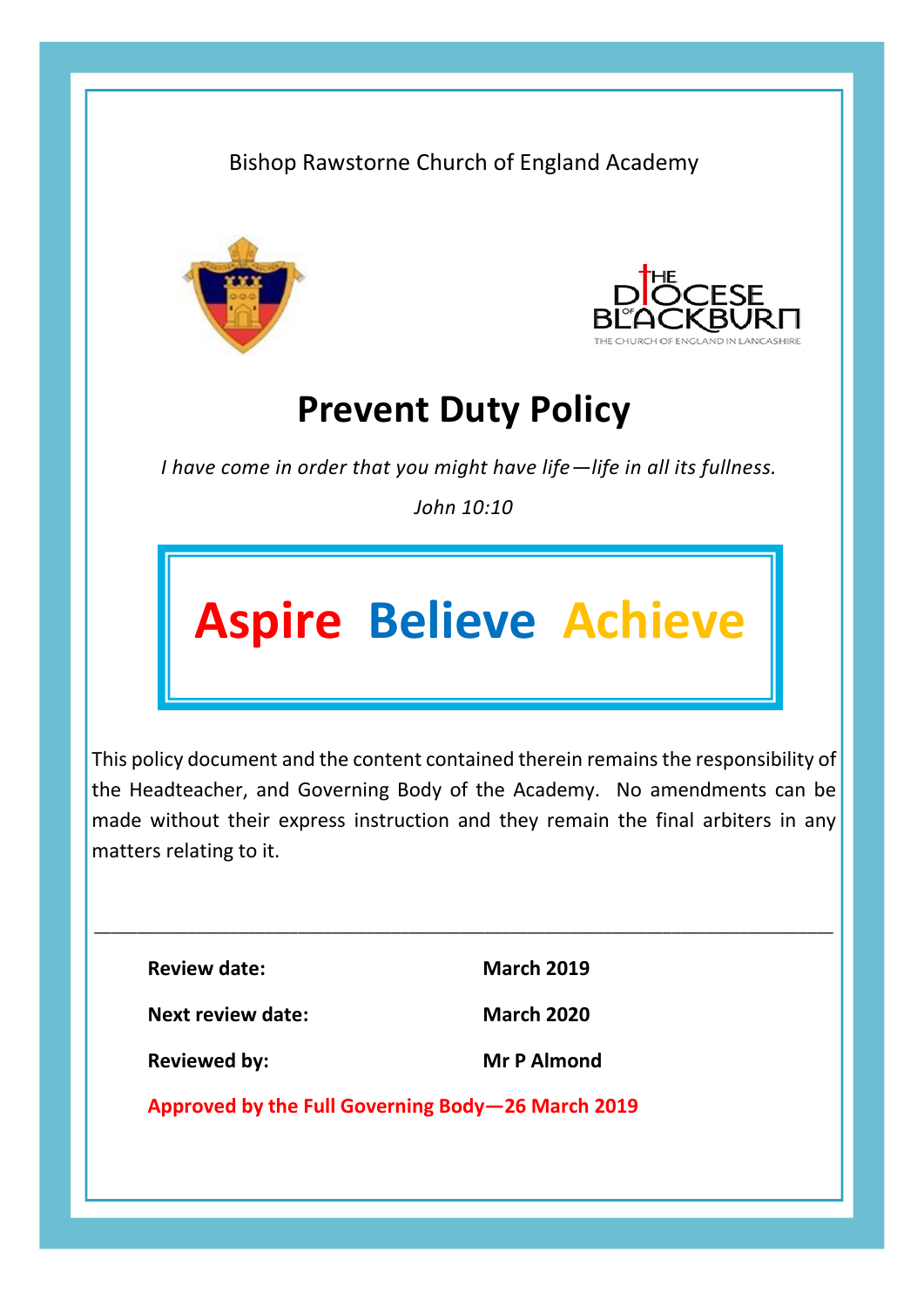Bishop Rawstorne Church of England Academy





# **Prevent Duty Policy**

*I have come in order that you might have life—life in all its fullness.*

*John 10:10*

# **Aspire Believe Achieve**

This policy document and the content contained therein remains the responsibility of the Headteacher, and Governing Body of the Academy. No amendments can be made without their express instruction and they remain the final arbiters in any matters relating to it.

\_\_\_\_\_\_\_\_\_\_\_\_\_\_\_\_\_\_\_\_\_\_\_\_\_\_\_\_\_\_\_\_\_\_\_\_\_\_\_\_\_\_\_\_\_\_\_\_\_\_\_\_\_\_\_\_\_\_\_\_\_\_\_\_\_\_\_\_\_\_\_\_\_\_\_\_\_\_\_\_\_\_\_\_\_\_\_

**Review date: March 2019**

**Next review date: March 2020**

**Reviewed by: Mr P Almond**

**Approved by the Full Governing Body—26 March 2019**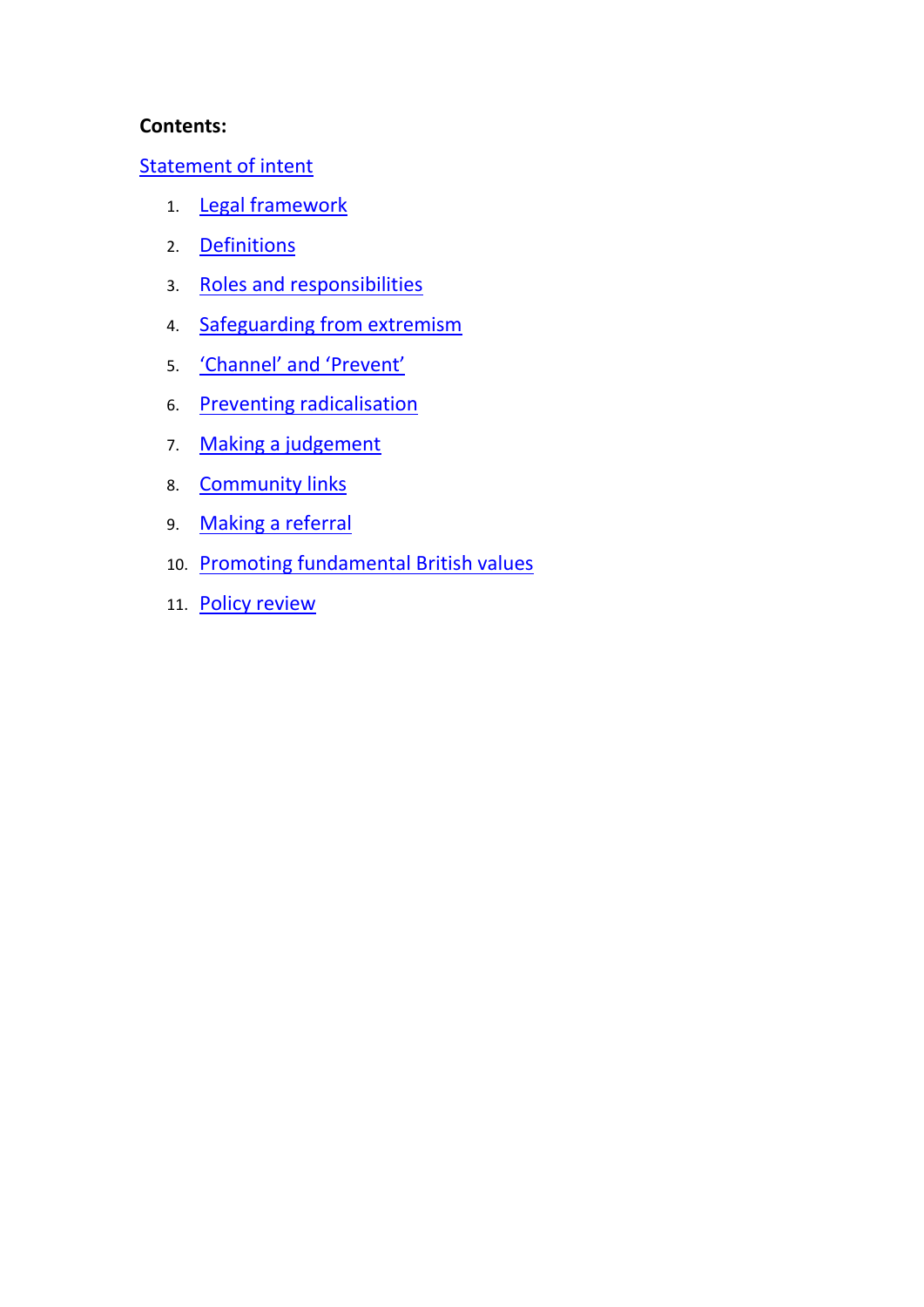#### **Contents:**

## **[Statement of intent](#page-2-0)**

- 1. [Legal framework](#page-3-0)
- 2. [Definitions](#page-3-1)
- 3. [Roles and responsibilities](#page-4-0)
- 4. [Safeguarding from extremism](#page-4-1)
- 5. ['Channel' and 'Prevent'](#page-5-0)
- 6. [Preventing radicalisation](#page-6-0)
- 7. [Making a judgement](#page-6-1)
- 8. [Community links](#page-9-0)
- 9. [Making a referral](#page-9-1)
- 10. [Promoting fundamental British values](#page-9-2)
- 11. [Policy review](#page-10-0)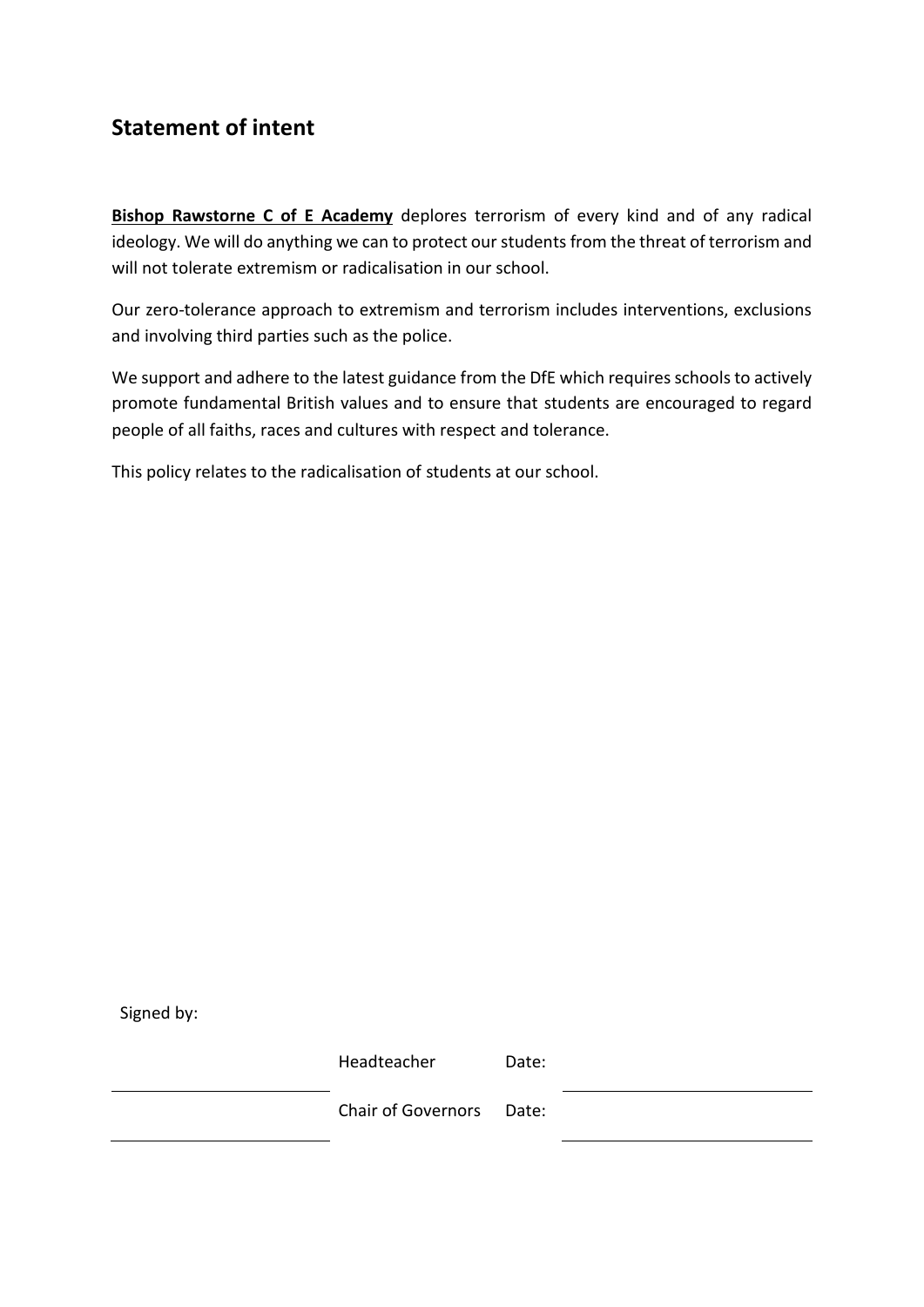### <span id="page-2-0"></span>**Statement of intent**

**Bishop Rawstorne C of E Academy** deplores terrorism of every kind and of any radical ideology. We will do anything we can to protect our students from the threat of terrorism and will not tolerate extremism or radicalisation in our school.

Our zero-tolerance approach to extremism and terrorism includes interventions, exclusions and involving third parties such as the police.

We support and adhere to the latest guidance from the DfE which requires schools to actively promote fundamental British values and to ensure that students are encouraged to regard people of all faiths, races and cultures with respect and tolerance.

This policy relates to the radicalisation of students at our school.

Signed by:

Headteacher Date: Chair of Governors Date: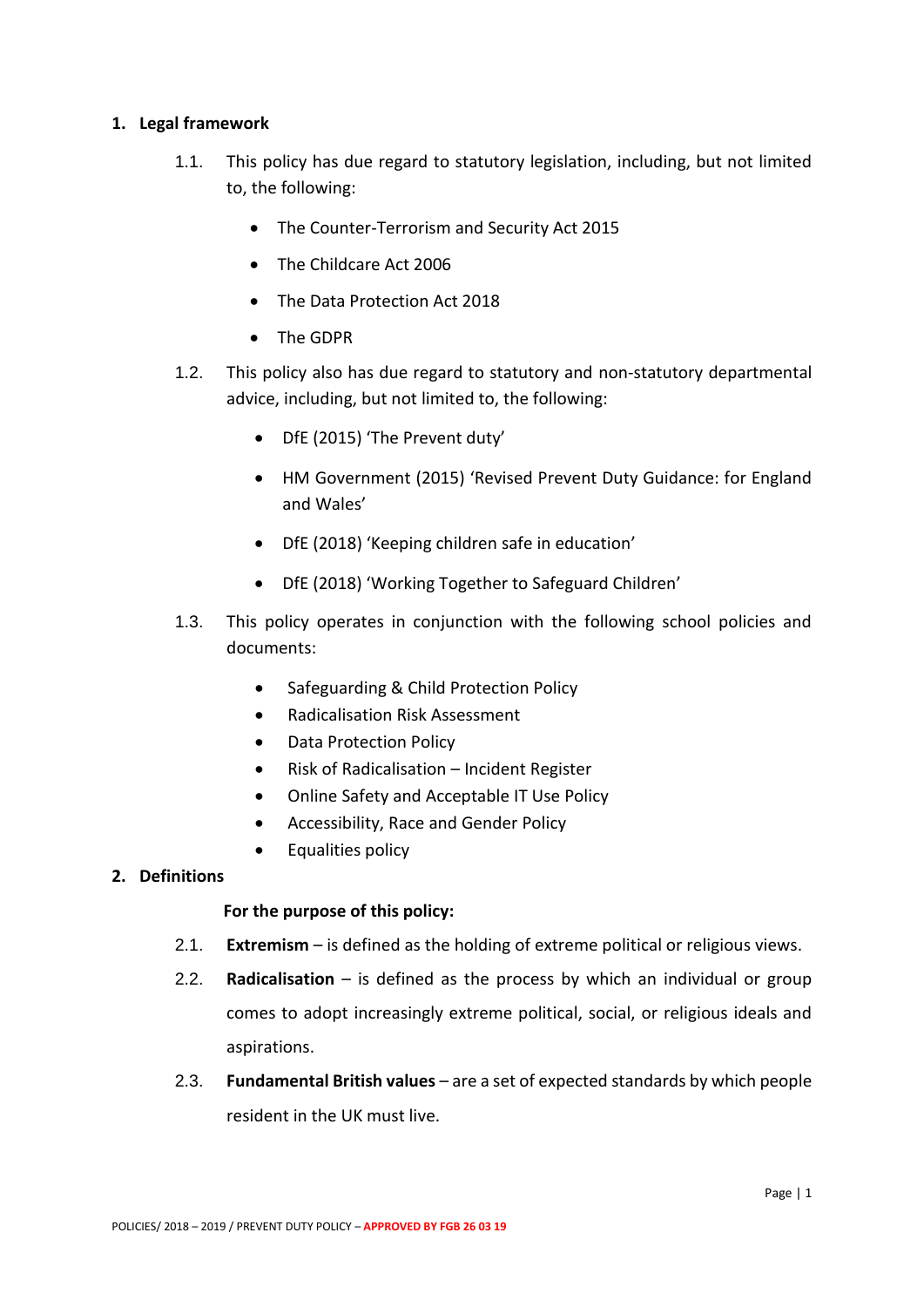#### <span id="page-3-0"></span>**1. Legal framework**

- 1.1. This policy has due regard to statutory legislation, including, but not limited to, the following:
	- The Counter-Terrorism and Security Act 2015
	- The Childcare Act 2006
	- The Data Protection Act 2018
	- The GDPR
- 1.2. This policy also has due regard to statutory and non-statutory departmental advice, including, but not limited to, the following:
	- DfE (2015) 'The Prevent duty'
	- HM Government (2015) 'Revised Prevent Duty Guidance: for England and Wales'
	- DfE (2018) 'Keeping children safe in education'
	- DfE (2018) 'Working Together to Safeguard Children'
- 1.3. This policy operates in conjunction with the following school policies and documents:
	- Safeguarding & Child Protection Policy
	- Radicalisation Risk Assessment
	- Data Protection Policy
	- Risk of Radicalisation Incident Register
	- Online Safety and Acceptable IT Use Policy
	- Accessibility, Race and Gender Policy
	- Equalities policy

#### <span id="page-3-1"></span>**2. Definitions**

#### **For the purpose of this policy:**

- 2.1. **Extremism** is defined as the holding of extreme political or religious views.
- 2.2. **Radicalisation** is defined as the process by which an individual or group comes to adopt increasingly extreme political, social, or religious ideals and aspirations.
- 2.3. **Fundamental British values** are a set of expected standards by which people resident in the UK must live.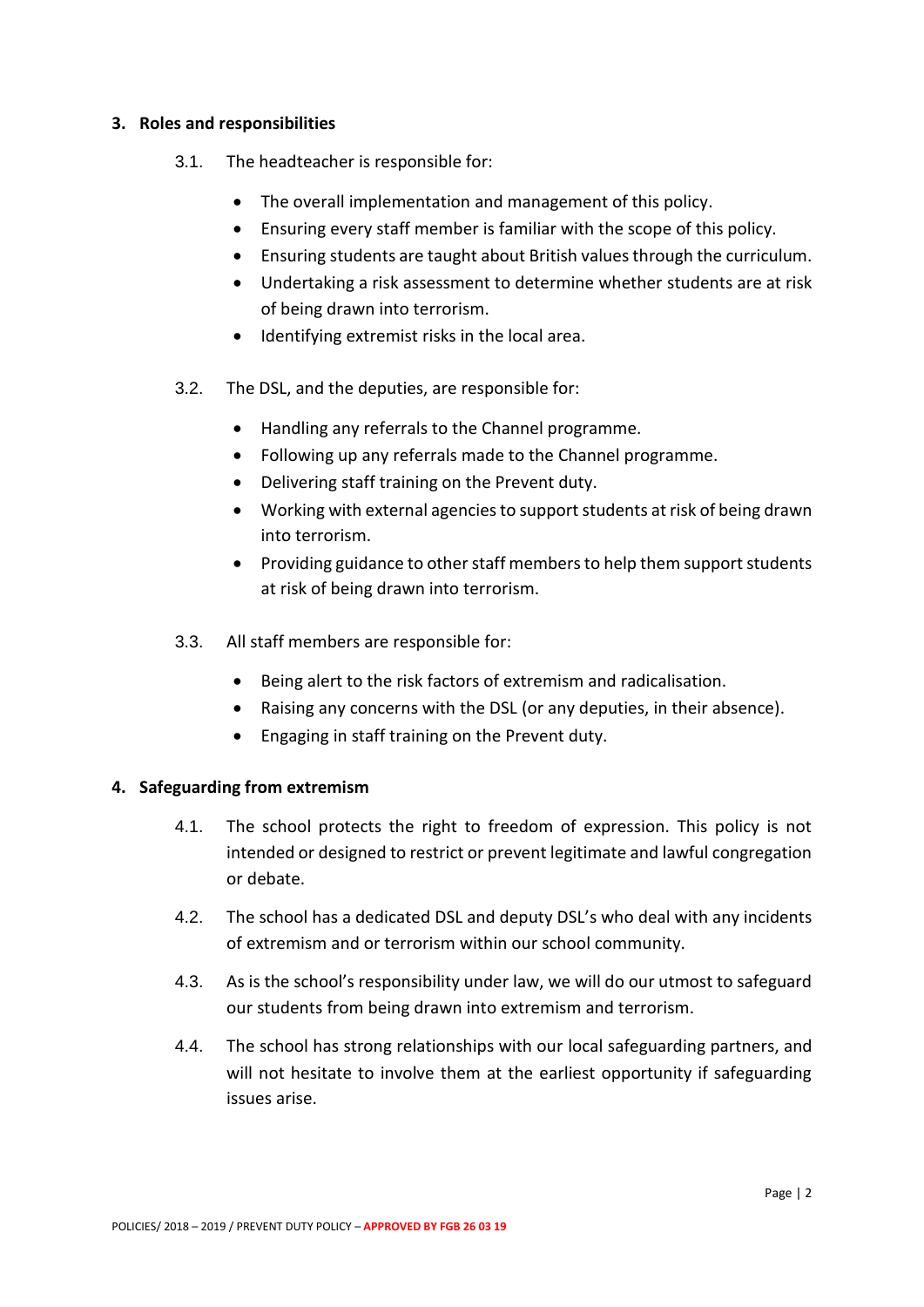#### <span id="page-4-0"></span>**3. Roles and responsibilities**

- 3.1. The headteacher is responsible for:
	- The overall implementation and management of this policy.
	- Ensuring every staff member is familiar with the scope of this policy.
	- Ensuring students are taught about British values through the curriculum.
	- Undertaking a risk assessment to determine whether students are at risk of being drawn into terrorism.
	- Identifying extremist risks in the local area.
- 3.2. The DSL, and the deputies, are responsible for:
	- Handling any referrals to the Channel programme.
	- Following up any referrals made to the Channel programme.
	- Delivering staff training on the Prevent duty.
	- Working with external agencies to support students at risk of being drawn into terrorism.
	- Providing guidance to other staff members to help them support students at risk of being drawn into terrorism.
- 3.3. All staff members are responsible for:
	- Being alert to the risk factors of extremism and radicalisation.
	- Raising any concerns with the DSL (or any deputies, in their absence).
	- Engaging in staff training on the Prevent duty.

#### <span id="page-4-1"></span>**4. Safeguarding from extremism**

- 4.1. The school protects the right to freedom of expression. This policy is not intended or designed to restrict or prevent legitimate and lawful congregation or debate.
- 4.2. The school has a dedicated DSL and deputy DSL's who deal with any incidents of extremism and or terrorism within our school community.
- 4.3. As is the school's responsibility under law, we will do our utmost to safeguard our students from being drawn into extremism and terrorism.
- 4.4. The school has strong relationships with our local safeguarding partners, and will not hesitate to involve them at the earliest opportunity if safeguarding issues arise.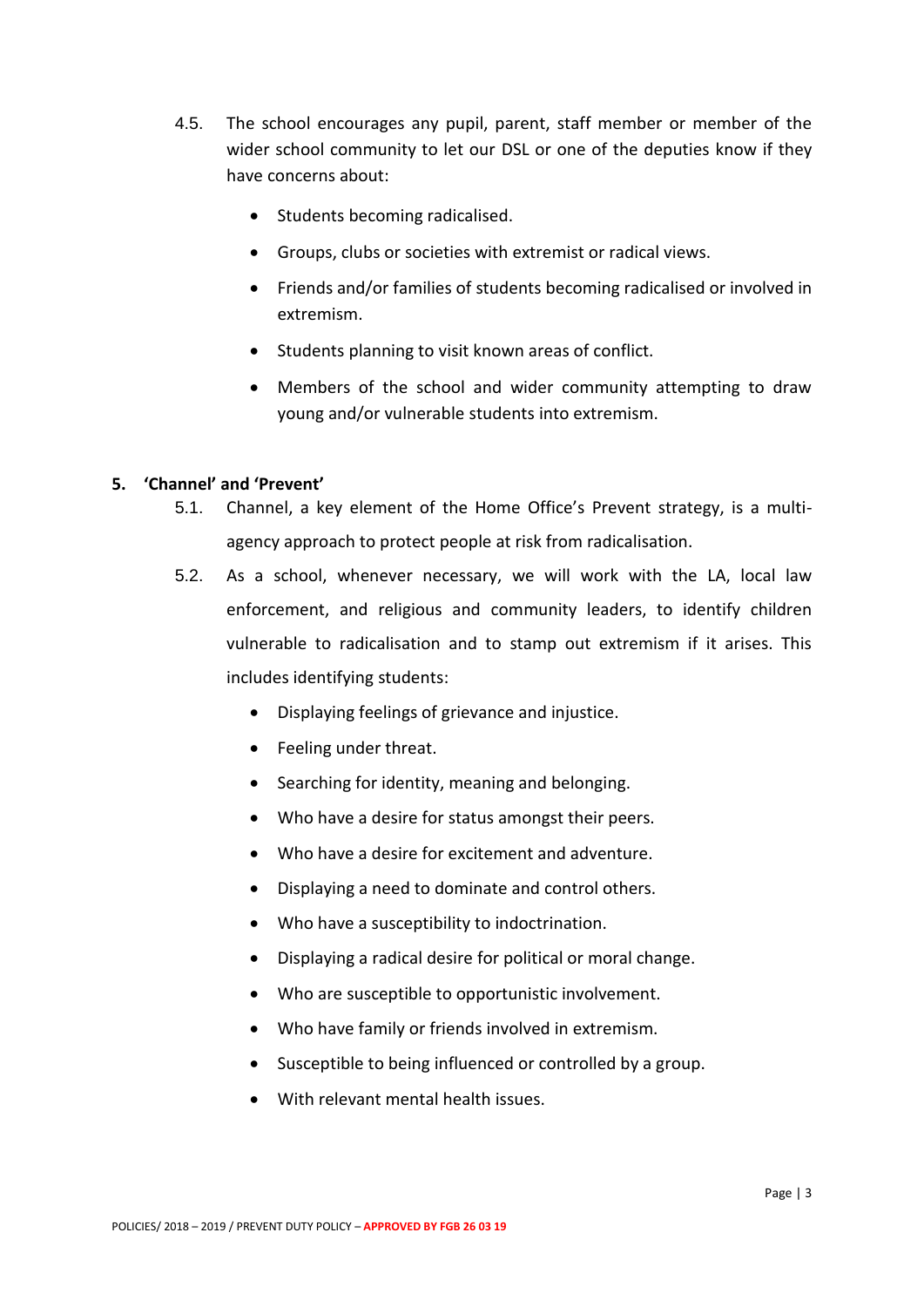- 4.5. The school encourages any pupil, parent, staff member or member of the wider school community to let our DSL or one of the deputies know if they have concerns about:
	- Students becoming radicalised.
	- Groups, clubs or societies with extremist or radical views.
	- Friends and/or families of students becoming radicalised or involved in extremism.
	- Students planning to visit known areas of conflict.
	- Members of the school and wider community attempting to draw young and/or vulnerable students into extremism.

#### <span id="page-5-0"></span>**5. 'Channel' and 'Prevent'**

- 5.1. Channel, a key element of the Home Office's Prevent strategy, is a multiagency approach to protect people at risk from radicalisation.
- 5.2. As a school, whenever necessary, we will work with the LA, local law enforcement, and religious and community leaders, to identify children vulnerable to radicalisation and to stamp out extremism if it arises. This includes identifying students:
	- Displaying feelings of grievance and injustice.
	- Feeling under threat.
	- Searching for identity, meaning and belonging.
	- Who have a desire for status amongst their peers.
	- Who have a desire for excitement and adventure.
	- Displaying a need to dominate and control others.
	- Who have a susceptibility to indoctrination.
	- Displaying a radical desire for political or moral change.
	- Who are susceptible to opportunistic involvement.
	- Who have family or friends involved in extremism.
	- Susceptible to being influenced or controlled by a group.
	- With relevant mental health issues.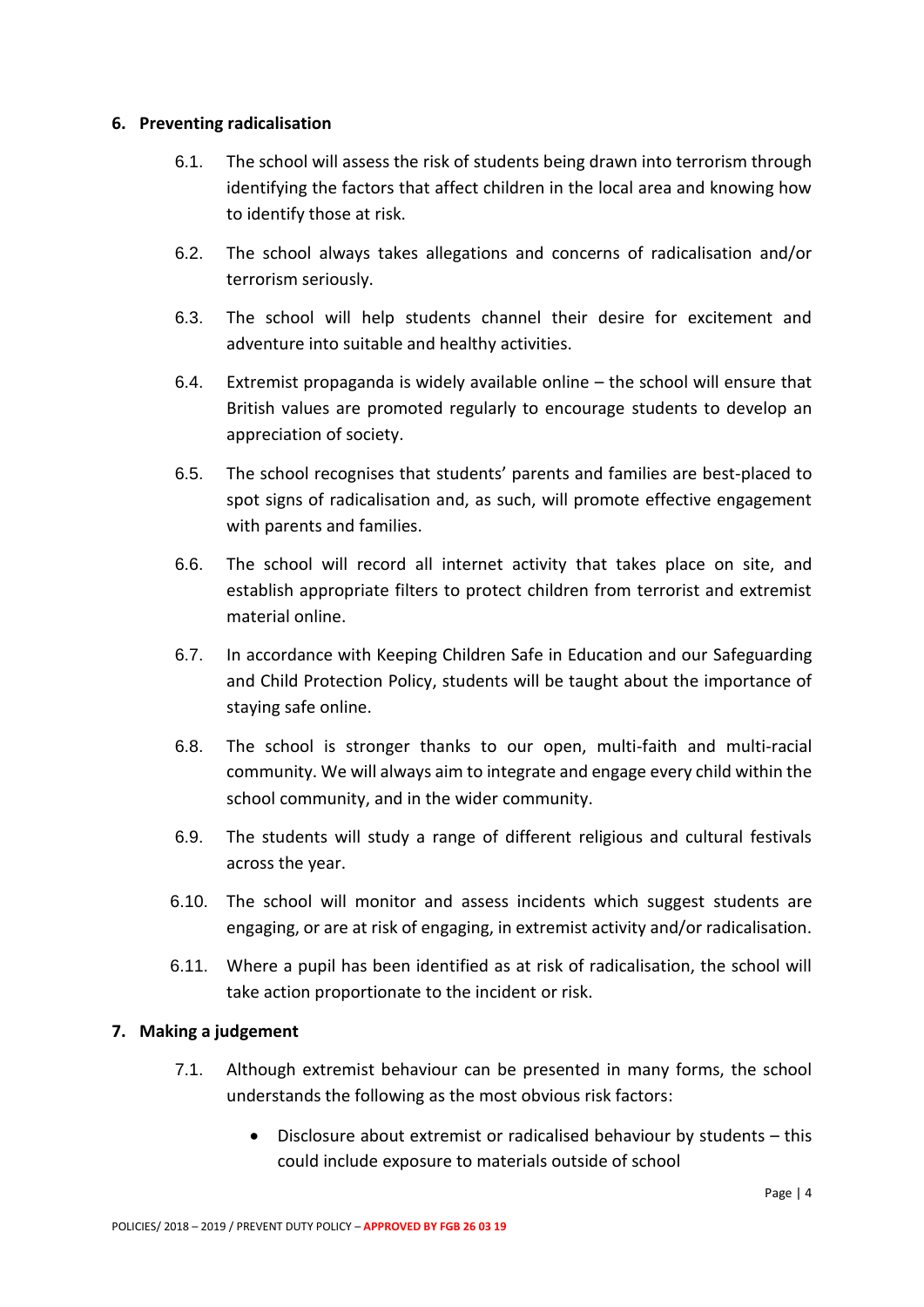#### <span id="page-6-0"></span>**6. Preventing radicalisation**

- 6.1. The school will assess the risk of students being drawn into terrorism through identifying the factors that affect children in the local area and knowing how to identify those at risk.
- 6.2. The school always takes allegations and concerns of radicalisation and/or terrorism seriously.
- 6.3. The school will help students channel their desire for excitement and adventure into suitable and healthy activities.
- 6.4. Extremist propaganda is widely available online the school will ensure that British values are promoted regularly to encourage students to develop an appreciation of society.
- 6.5. The school recognises that students' parents and families are best-placed to spot signs of radicalisation and, as such, will promote effective engagement with parents and families.
- 6.6. The school will record all internet activity that takes place on site, and establish appropriate filters to protect children from terrorist and extremist material online.
- 6.7. In accordance with Keeping Children Safe in Education and our Safeguarding and Child Protection Policy, students will be taught about the importance of staying safe online.
- 6.8. The school is stronger thanks to our open, multi-faith and multi-racial community. We will always aim to integrate and engage every child within the school community, and in the wider community.
- 6.9. The students will study a range of different religious and cultural festivals across the year.
- 6.10. The school will monitor and assess incidents which suggest students are engaging, or are at risk of engaging, in extremist activity and/or radicalisation.
- 6.11. Where a pupil has been identified as at risk of radicalisation, the school will take action proportionate to the incident or risk.

#### <span id="page-6-1"></span>**7. Making a judgement**

- 7.1. Although extremist behaviour can be presented in many forms, the school understands the following as the most obvious risk factors:
	- Disclosure about extremist or radicalised behaviour by students this could include exposure to materials outside of school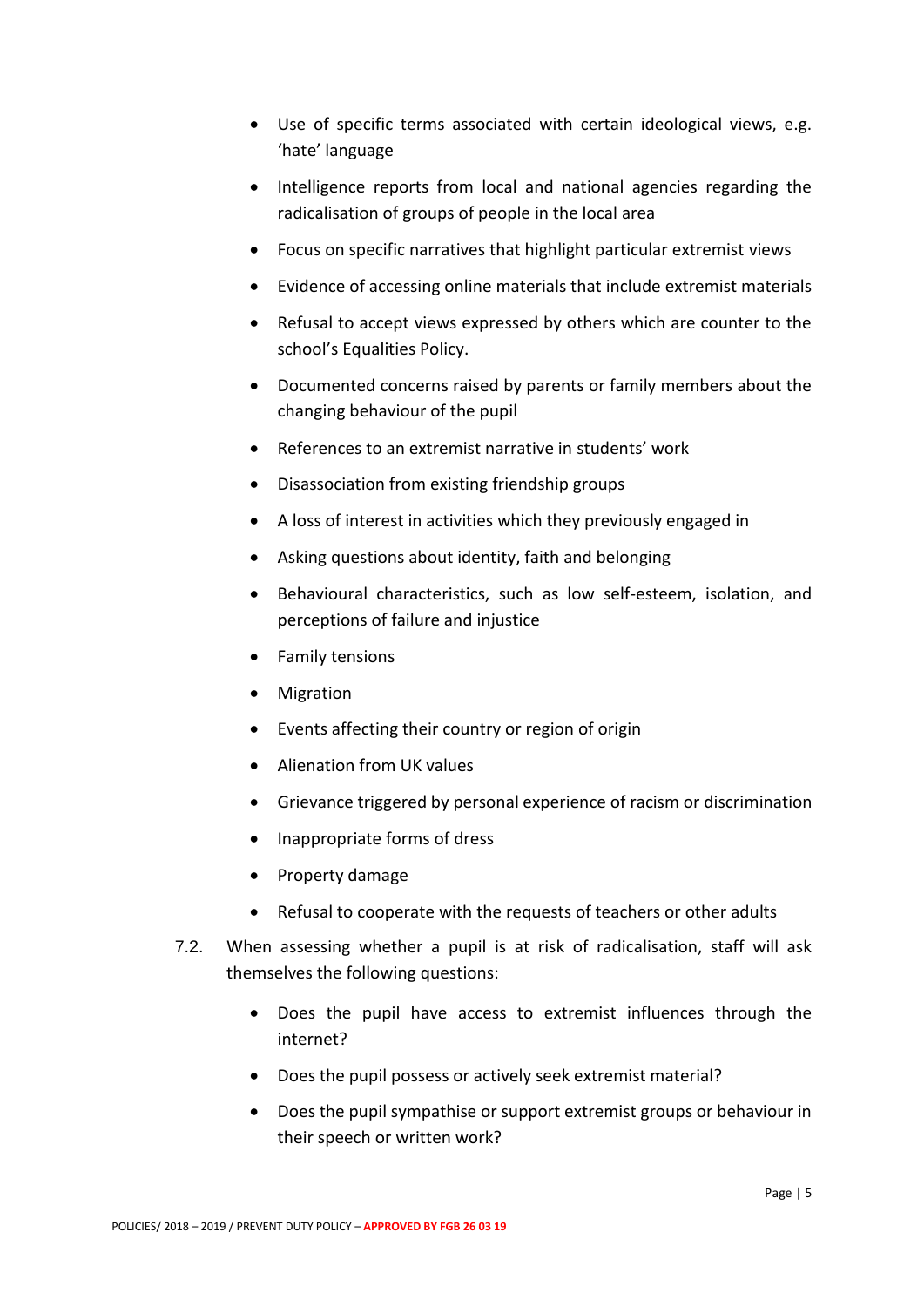- Use of specific terms associated with certain ideological views, e.g. 'hate' language
- Intelligence reports from local and national agencies regarding the radicalisation of groups of people in the local area
- Focus on specific narratives that highlight particular extremist views
- Evidence of accessing online materials that include extremist materials
- Refusal to accept views expressed by others which are counter to the school's Equalities Policy.
- Documented concerns raised by parents or family members about the changing behaviour of the pupil
- References to an extremist narrative in students' work
- Disassociation from existing friendship groups
- A loss of interest in activities which they previously engaged in
- Asking questions about identity, faith and belonging
- Behavioural characteristics, such as low self-esteem, isolation, and perceptions of failure and injustice
- Family tensions
- Migration
- Events affecting their country or region of origin
- Alienation from UK values
- Grievance triggered by personal experience of racism or discrimination
- Inappropriate forms of dress
- Property damage
- Refusal to cooperate with the requests of teachers or other adults
- 7.2. When assessing whether a pupil is at risk of radicalisation, staff will ask themselves the following questions:
	- Does the pupil have access to extremist influences through the internet?
	- Does the pupil possess or actively seek extremist material?
	- Does the pupil sympathise or support extremist groups or behaviour in their speech or written work?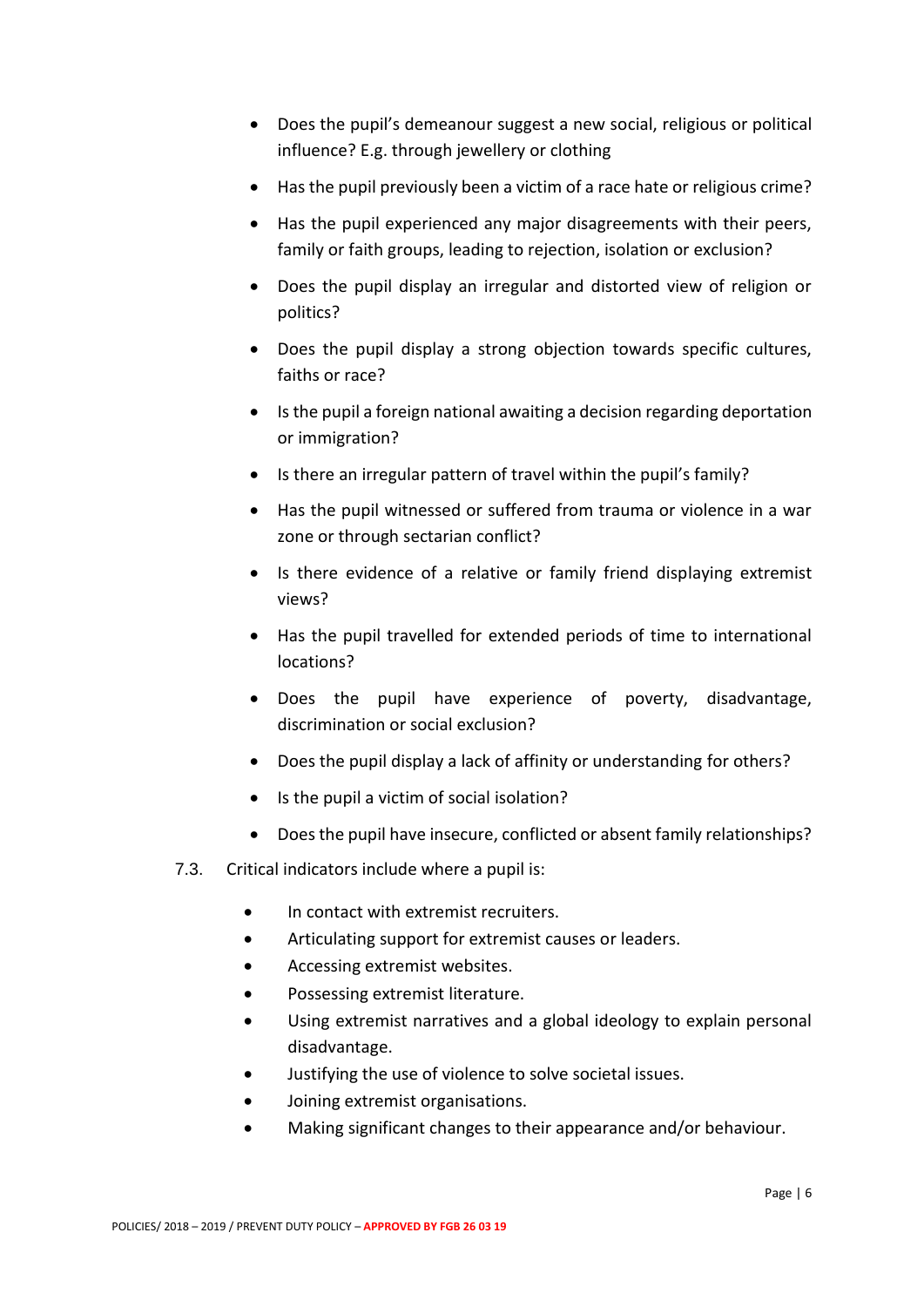- Does the pupil's demeanour suggest a new social, religious or political influence? E.g. through jewellery or clothing
- Has the pupil previously been a victim of a race hate or religious crime?
- Has the pupil experienced any major disagreements with their peers, family or faith groups, leading to rejection, isolation or exclusion?
- Does the pupil display an irregular and distorted view of religion or politics?
- Does the pupil display a strong objection towards specific cultures, faiths or race?
- Is the pupil a foreign national awaiting a decision regarding deportation or immigration?
- Is there an irregular pattern of travel within the pupil's family?
- Has the pupil witnessed or suffered from trauma or violence in a war zone or through sectarian conflict?
- Is there evidence of a relative or family friend displaying extremist views?
- Has the pupil travelled for extended periods of time to international locations?
- Does the pupil have experience of poverty, disadvantage, discrimination or social exclusion?
- Does the pupil display a lack of affinity or understanding for others?
- Is the pupil a victim of social isolation?
- Does the pupil have insecure, conflicted or absent family relationships?
- 7.3. Critical indicators include where a pupil is:
	- In contact with extremist recruiters.
	- Articulating support for extremist causes or leaders.
	- Accessing extremist websites.
	- Possessing extremist literature.
	- Using extremist narratives and a global ideology to explain personal disadvantage.
	- Justifying the use of violence to solve societal issues.
	- Joining extremist organisations.
	- Making significant changes to their appearance and/or behaviour.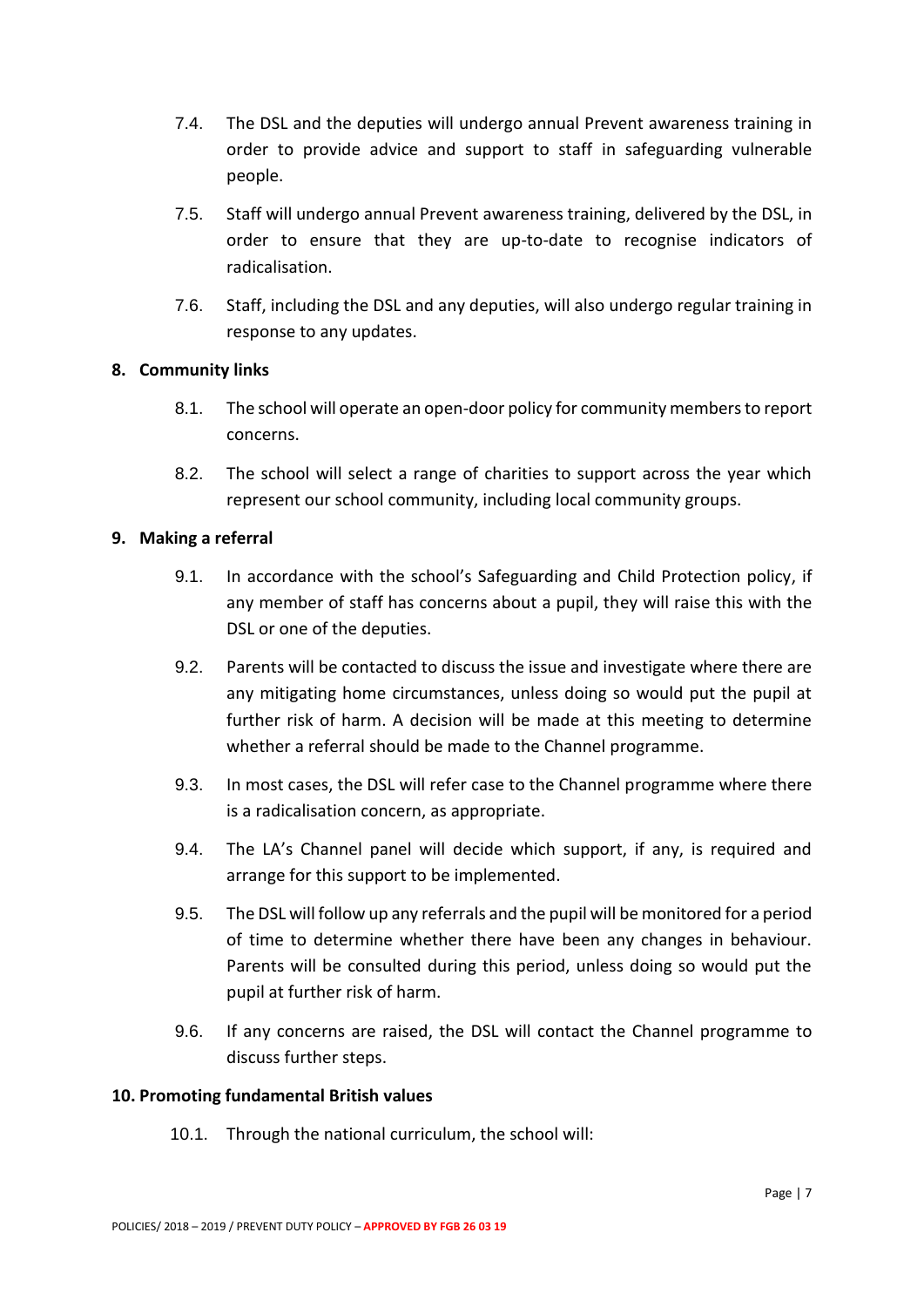- 7.4. The DSL and the deputies will undergo annual Prevent awareness training in order to provide advice and support to staff in safeguarding vulnerable people.
- 7.5. Staff will undergo annual Prevent awareness training, delivered by the DSL, in order to ensure that they are up-to-date to recognise indicators of radicalisation.
- 7.6. Staff, including the DSL and any deputies, will also undergo regular training in response to any updates.

#### <span id="page-9-0"></span>**8. Community links**

- 8.1. The school will operate an open-door policy for community members to report concerns.
- 8.2. The school will select a range of charities to support across the year which represent our school community, including local community groups.

#### <span id="page-9-1"></span>**9. Making a referral**

- 9.1. In accordance with the school's Safeguarding and Child Protection policy, if any member of staff has concerns about a pupil, they will raise this with the DSL or one of the deputies.
- 9.2. Parents will be contacted to discuss the issue and investigate where there are any mitigating home circumstances, unless doing so would put the pupil at further risk of harm. A decision will be made at this meeting to determine whether a referral should be made to the Channel programme.
- 9.3. In most cases, the DSL will refer case to the Channel programme where there is a radicalisation concern, as appropriate.
- 9.4. The LA's Channel panel will decide which support, if any, is required and arrange for this support to be implemented.
- 9.5. The DSL will follow up any referrals and the pupil will be monitored for a period of time to determine whether there have been any changes in behaviour. Parents will be consulted during this period, unless doing so would put the pupil at further risk of harm.
- 9.6. If any concerns are raised, the DSL will contact the Channel programme to discuss further steps.

#### <span id="page-9-2"></span>**10. Promoting fundamental British values**

10.1. Through the national curriculum, the school will: